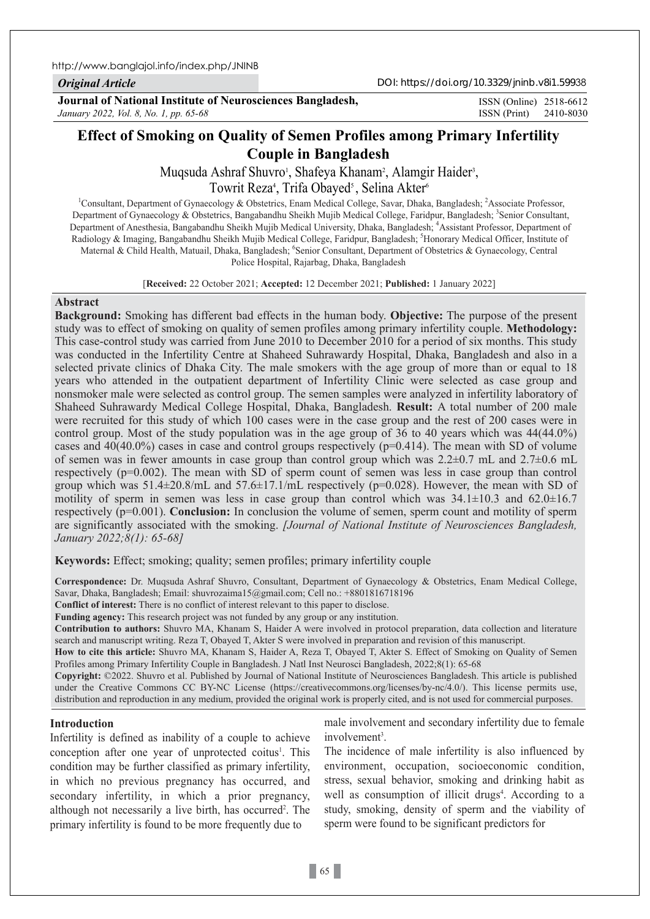http://www.banglajol.info/index.php/JNINB

*Original Article*

DOI: https://doi.org/10.3329/jninb.v8i1.59938

**Journal of National Institute of Neurosciences Bangladesh,** *January 2022, Vol. 8, No. 1, pp. 65-68*

ISSN (Print) 2410-8030 ISSN (Online) 2518-6612

# **Effect of Smoking on Quality of Semen Profiles among Primary Infertility Couple in Bangladesh**

Muqsuda Ashraf Shuvro', Shafeya Khanam<sup>2</sup>, Alamgir Haider<sup>3</sup>, Towrit Reza<sup>4</sup>, Trifa Obayed<sup>5</sup>, Selina Akter<sup>6</sup>

<sup>1</sup>Consultant, Department of Gynaecology & Obstetrics, Enam Medical College, Savar, Dhaka, Bangladesh; <sup>2</sup>Associate Professor, Department of Gynaecology & Obstetrics, Bangabandhu Sheikh Mujib Medical College, Faridpur, Bangladesh; <sup>3</sup>Senior Consultant, Department of Anesthesia, Bangabandhu Sheikh Mujib Medical University, Dhaka, Bangladesh; <sup>4</sup>Assistant Professor, Department of Radiology & Imaging, Bangabandhu Sheikh Mujib Medical College, Faridpur, Bangladesh; <sup>5</sup>Honorary Medical Officer, Institute of Maternal & Child Health, Matuail, Dhaka, Bangladesh; <sup>6</sup>Senior Consultant, Department of Obstetrics & Gynaecology, Central Police Hospital, Rajarbag, Dhaka, Bangladesh

[**Received:** 22 October 2021; **Accepted:** 12 December 2021; **Published:** 1 January 2022]

## **Abstract**

**Background:** Smoking has different bad effects in the human body. **Objective:** The purpose of the present study was to effect of smoking on quality of semen profiles among primary infertility couple. **Methodology:** This case-control study was carried from June 2010 to December 2010 for a period of six months. This study was conducted in the Infertility Centre at Shaheed Suhrawardy Hospital, Dhaka, Bangladesh and also in a selected private clinics of Dhaka City. The male smokers with the age group of more than or equal to 18 years who attended in the outpatient department of Infertility Clinic were selected as case group and nonsmoker male were selected as control group. The semen samples were analyzed in infertility laboratory of Shaheed Suhrawardy Medical College Hospital, Dhaka, Bangladesh. **Result:** A total number of 200 male were recruited for this study of which 100 cases were in the case group and the rest of 200 cases were in control group. Most of the study population was in the age group of 36 to 40 years which was 44(44.0%) cases and  $40(40.0\%)$  cases in case and control groups respectively ( $p=0.414$ ). The mean with SD of volume of semen was in fewer amounts in case group than control group which was 2.2±0.7 mL and 2.7±0.6 mL respectively (p=0.002). The mean with SD of sperm count of semen was less in case group than control group which was  $51.4\pm20.8/\text{m}$ L and  $57.6\pm17.1/\text{m}$ L respectively ( $p=0.028$ ). However, the mean with SD of motility of sperm in semen was less in case group than control which was  $34.1 \pm 10.3$  and  $62.0 \pm 16.7$ respectively (p=0.001). **Conclusion:** In conclusion the volume of semen, sperm count and motility of sperm are significantly associated with the smoking. *[Journal of National Institute of Neurosciences Bangladesh, January 2022;8(1): 65-68]*

**Keywords:** Effect; smoking; quality; semen profiles; primary infertility couple

**Correspondence:** Dr. Muqsuda Ashraf Shuvro, Consultant, Department of Gynaecology & Obstetrics, Enam Medical College, Savar, Dhaka, Bangladesh; Email: shuvrozaima15@gmail.com; Cell no.: +8801816718196

**Conflict of interest:** There is no conflict of interest relevant to this paper to disclose.

**Funding agency:** This research project was not funded by any group or any institution.

**Contribution to authors:** Shuvro MA, Khanam S, Haider A were involved in protocol preparation, data collection and literature search and manuscript writing. Reza T, Obayed T, Akter S were involved in preparation and revision of this manuscript.

**How to cite this article:** Shuvro MA, Khanam S, Haider A, Reza T, Obayed T, Akter S. Effect of Smoking on Quality of Semen Profiles among Primary Infertility Couple in Bangladesh. J Natl Inst Neurosci Bangladesh, 2022;8(1): 65-68

**Copyright:** ©2022. Shuvro et al. Published by Journal of National Institute of Neurosciences Bangladesh. This article is published under the Creative Commons CC BY-NC License (https://creativecommons.org/licenses/by-nc/4.0/). This license permits use, distribution and reproduction in any medium, provided the original work is properly cited, and is not used for commercial purposes.

## **Introduction**

Infertility is defined as inability of a couple to achieve conception after one year of unprotected coitus<sup>1</sup>. This condition may be further classified as primary infertility, in which no previous pregnancy has occurred, and secondary infertility, in which a prior pregnancy, although not necessarily a live birth, has occurred<sup>2</sup>. The primary infertility is found to be more frequently due to

male involvement and secondary infertility due to female involvement<sup>3</sup>.

The incidence of male infertility is also influenced by environment, occupation, socioeconomic condition, stress, sexual behavior, smoking and drinking habit as well as consumption of illicit drugs<sup>4</sup>. According to a study, smoking, density of sperm and the viability of sperm were found to be significant predictors for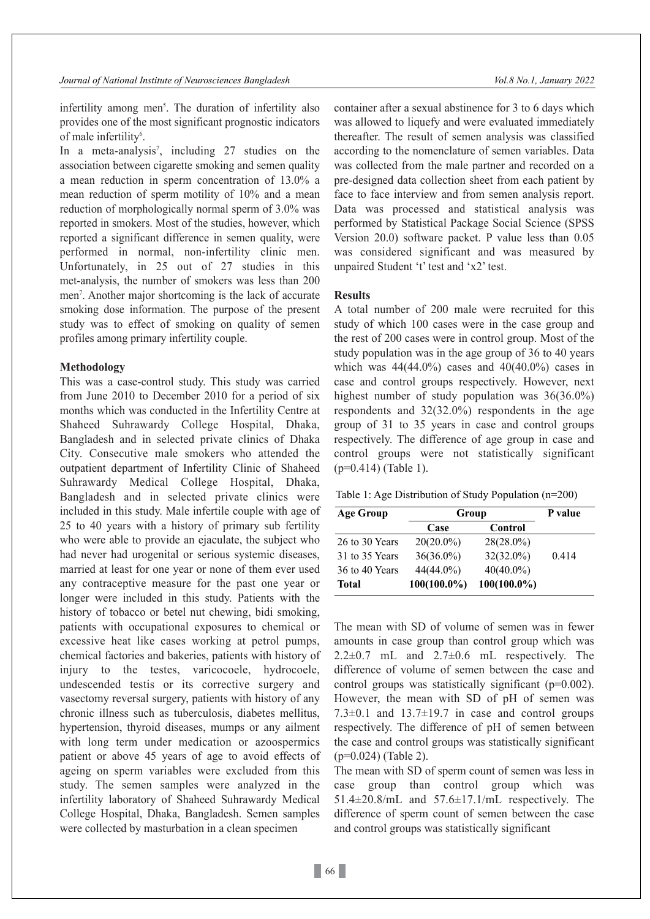infertility among men<sup>5</sup>. The duration of infertility also provides one of the most significant prognostic indicators of male infertility<sup>6</sup>.

In a meta-analysis<sup>7</sup>, including 27 studies on the association between cigarette smoking and semen quality a mean reduction in sperm concentration of 13.0% a mean reduction of sperm motility of 10% and a mean reduction of morphologically normal sperm of 3.0% was reported in smokers. Most of the studies, however, which reported a significant difference in semen quality, were performed in normal, non-infertility clinic men. Unfortunately, in 25 out of 27 studies in this met-analysis, the number of smokers was less than 200 men<sup>7</sup>. Another major shortcoming is the lack of accurate smoking dose information. The purpose of the present study was to effect of smoking on quality of semen profiles among primary infertility couple.

## **Methodology**

This was a case-control study. This study was carried from June 2010 to December 2010 for a period of six months which was conducted in the Infertility Centre at Shaheed Suhrawardy College Hospital, Dhaka, Bangladesh and in selected private clinics of Dhaka City. Consecutive male smokers who attended the outpatient department of Infertility Clinic of Shaheed Suhrawardy Medical College Hospital, Dhaka, Bangladesh and in selected private clinics were included in this study. Male infertile couple with age of 25 to 40 years with a history of primary sub fertility who were able to provide an ejaculate, the subject who had never had urogenital or serious systemic diseases, married at least for one year or none of them ever used any contraceptive measure for the past one year or longer were included in this study. Patients with the history of tobacco or betel nut chewing, bidi smoking, patients with occupational exposures to chemical or excessive heat like cases working at petrol pumps, chemical factories and bakeries, patients with history of injury to the testes, varicocoele, hydrocoele, undescended testis or its corrective surgery and vasectomy reversal surgery, patients with history of any chronic illness such as tuberculosis, diabetes mellitus, hypertension, thyroid diseases, mumps or any ailment with long term under medication or azoospermics patient or above 45 years of age to avoid effects of ageing on sperm variables were excluded from this study. The semen samples were analyzed in the infertility laboratory of Shaheed Suhrawardy Medical College Hospital, Dhaka, Bangladesh. Semen samples were collected by masturbation in a clean specimen

container after a sexual abstinence for 3 to 6 days which was allowed to liquefy and were evaluated immediately thereafter. The result of semen analysis was classified according to the nomenclature of semen variables. Data was collected from the male partner and recorded on a pre-designed data collection sheet from each patient by face to face interview and from semen analysis report. Data was processed and statistical analysis was performed by Statistical Package Social Science (SPSS Version 20.0) software packet. P value less than 0.05 was considered significant and was measured by unpaired Student 't' test and 'x2' test.

## **Results**

A total number of 200 male were recruited for this study of which 100 cases were in the case group and the rest of 200 cases were in control group. Most of the study population was in the age group of 36 to 40 years which was  $44(44.0%)$  cases and  $40(40.0%)$  cases in case and control groups respectively. However, next highest number of study population was 36(36.0%) respondents and 32(32.0%) respondents in the age group of 31 to 35 years in case and control groups respectively. The difference of age group in case and control groups were not statistically significant  $(p=0.414)$  (Table 1).

Table 1: Age Distribution of Study Population (n=200)

| <b>Age Group</b> | Group          |                | P value |
|------------------|----------------|----------------|---------|
|                  | Case           | Control        |         |
| 26 to 30 Years   | $20(20.0\%)$   | $28(28.0\%)$   |         |
| 31 to 35 Years   | $36(36.0\%)$   | 32(32.0%)      | 0.414   |
| 36 to 40 Years   | 44(44.0%)      | $40(40.0\%)$   |         |
| <b>Total</b>     | $100(100.0\%)$ | $100(100.0\%)$ |         |

The mean with SD of volume of semen was in fewer amounts in case group than control group which was  $2.2\pm0.7$  mL and  $2.7\pm0.6$  mL respectively. The difference of volume of semen between the case and control groups was statistically significant (p=0.002). However, the mean with SD of pH of semen was 7.3 $\pm$ 0.1 and 13.7 $\pm$ 19.7 in case and control groups respectively. The difference of pH of semen between the case and control groups was statistically significant (p=0.024) (Table 2).

The mean with SD of sperm count of semen was less in case group than control group which was 51.4±20.8/mL and 57.6±17.1/mL respectively. The difference of sperm count of semen between the case and control groups was statistically significant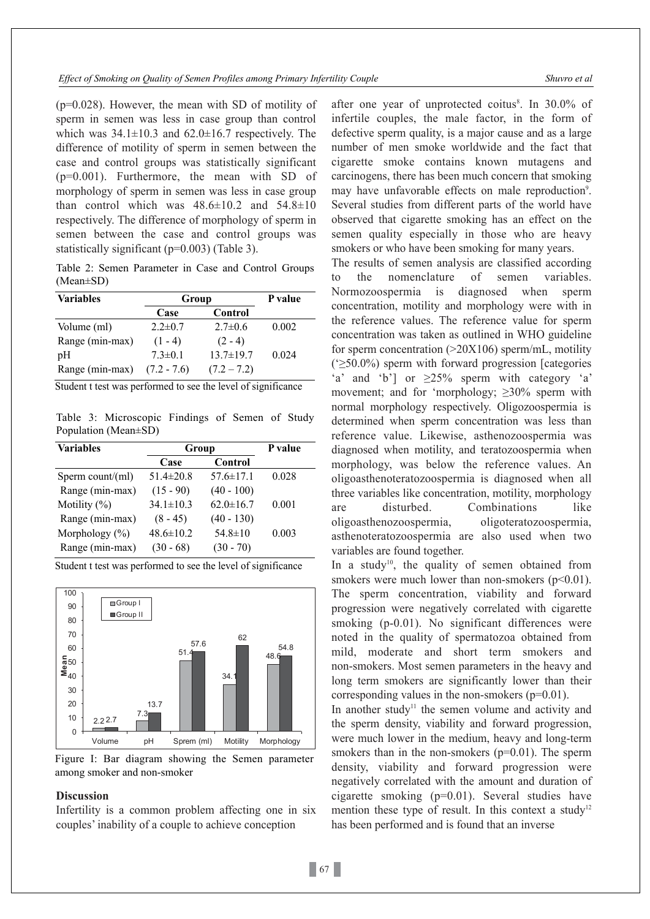(p=0.028). However, the mean with SD of motility of sperm in semen was less in case group than control which was  $34.1 \pm 10.3$  and  $62.0 \pm 16.7$  respectively. The difference of motility of sperm in semen between the case and control groups was statistically significant  $(p=0.001)$ . Furthermore, the mean with SD of morphology of sperm in semen was less in case group than control which was  $48.6 \pm 10.2$  and  $54.8 \pm 10$ respectively. The difference of morphology of sperm in semen between the case and control groups was statistically significant (p=0.003) (Table 3).

Table 2: Semen Parameter in Case and Control Groups (Mean±SD)

| <b>Variables</b> | Group         |                 | P value |
|------------------|---------------|-----------------|---------|
|                  | Case          | Control         |         |
| Volume (ml)      | $2.2 \pm 0.7$ | $2.7 \pm 0.6$   | 0.002   |
| Range (min-max)  | $(1 - 4)$     | $(2 - 4)$       |         |
| pH               | $7.3 \pm 0.1$ | $13.7 \pm 19.7$ | 0.024   |
| Range (min-max)  | $(7.2 - 7.6)$ | $(7.2 - 7.2)$   |         |

Student t test was performed to see the level of significance

Table 3: Microscopic Findings of Semen of Study Population (Mean±SD)

| <b>Variables</b>   | Group           |                 | P value |
|--------------------|-----------------|-----------------|---------|
|                    | Case            | Control         |         |
| Sperm count/(ml)   | $51.4 \pm 20.8$ | $57.6 \pm 17.1$ | 0.028   |
| Range (min-max)    | $(15 - 90)$     | $(40 - 100)$    |         |
| Motility $(\%)$    | $34.1 \pm 10.3$ | $62.0 \pm 16.7$ | 0.001   |
| Range (min-max)    | $(8 - 45)$      | $(40 - 130)$    |         |
| Morphology $(\% )$ | $48.6 \pm 10.2$ | $54.8 \pm 10$   | 0.003   |
| Range (min-max)    | $(30 - 68)$     | $(30 - 70)$     |         |

Student t test was performed to see the level of significance





## **Discussion**

Infertility is a common problem affecting one in six couples' inability of a couple to achieve conception

after one year of unprotected coitus<sup>8</sup>. In 30.0% of infertile couples, the male factor, in the form of defective sperm quality, is a major cause and as a large number of men smoke worldwide and the fact that cigarette smoke contains known mutagens and carcinogens, there has been much concern that smoking may have unfavorable effects on male reproduction<sup>9</sup>. Several studies from different parts of the world have observed that cigarette smoking has an effect on the semen quality especially in those who are heavy smokers or who have been smoking for many years.

The results of semen analysis are classified according to the nomenclature of semen variables. Normozoospermia is diagnosed when sperm concentration, motility and morphology were with in the reference values. The reference value for sperm concentration was taken as outlined in WHO guideline for sperm concentration  $(>20X106)$  sperm/mL, motility ('≥50.0%) sperm with forward progression [categories 'a' and 'b'] or  $\geq 25\%$  sperm with category 'a' movement; and for 'morphology; ≥30% sperm with normal morphology respectively. Oligozoospermia is determined when sperm concentration was less than reference value. Likewise, asthenozoospermia was diagnosed when motility, and teratozoospermia when morphology, was below the reference values. An oligoasthenoteratozoospermia is diagnosed when all three variables like concentration, motility, morphology are disturbed. Combinations like oligoasthenozoospermia, oligoteratozoospermia, asthenoteratozoospermia are also used when two variables are found together.

In a study<sup>10</sup>, the quality of semen obtained from smokers were much lower than non-smokers  $(p<0.01)$ . The sperm concentration, viability and forward progression were negatively correlated with cigarette smoking (p-0.01). No significant differences were noted in the quality of spermatozoa obtained from mild, moderate and short term smokers and non-smokers. Most semen parameters in the heavy and long term smokers are significantly lower than their corresponding values in the non-smokers (p=0.01).

In another study<sup>11</sup> the semen volume and activity and the sperm density, viability and forward progression, were much lower in the medium, heavy and long-term smokers than in the non-smokers  $(p=0.01)$ . The sperm density, viability and forward progression were negatively correlated with the amount and duration of cigarette smoking (p=0.01). Several studies have mention these type of result. In this context a study<sup>12</sup> has been performed and is found that an inverse